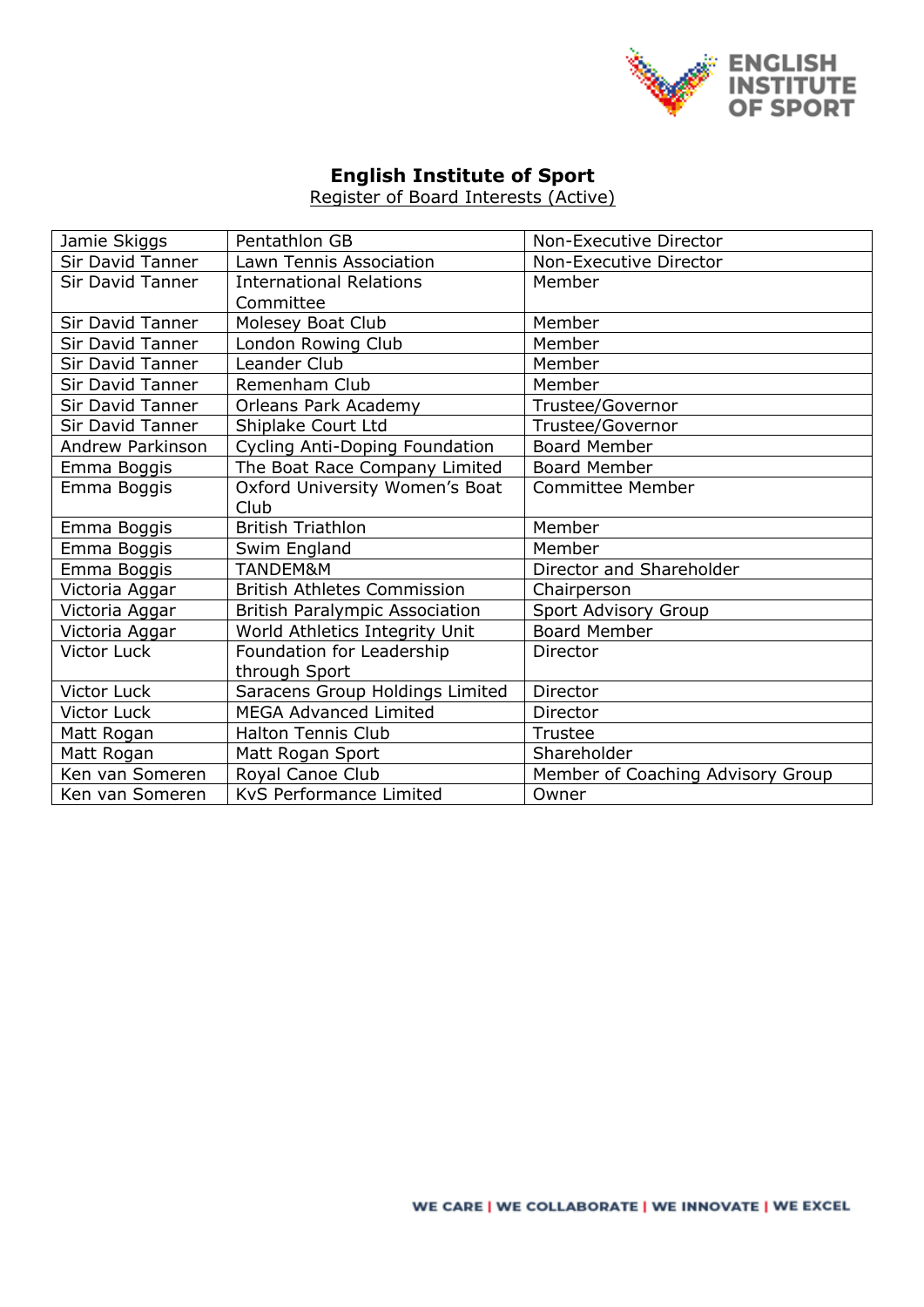

## **English Institute of Sport**

Register of Board Interests (Active)

| Jamie Skiggs            | Pentathlon GB                         | Non-Executive Director            |  |
|-------------------------|---------------------------------------|-----------------------------------|--|
| <b>Sir David Tanner</b> | Lawn Tennis Association               | Non-Executive Director            |  |
| <b>Sir David Tanner</b> | <b>International Relations</b>        | Member                            |  |
|                         | Committee                             |                                   |  |
| <b>Sir David Tanner</b> | Molesey Boat Club                     | Member                            |  |
| Sir David Tanner        | London Rowing Club                    | Member                            |  |
| Sir David Tanner        | Leander Club                          | Member                            |  |
| <b>Sir David Tanner</b> | Remenham Club                         | Member                            |  |
| Sir David Tanner        | Orleans Park Academy                  | Trustee/Governor                  |  |
| Sir David Tanner        | Shiplake Court Ltd                    | Trustee/Governor                  |  |
| Andrew Parkinson        | <b>Cycling Anti-Doping Foundation</b> | <b>Board Member</b>               |  |
| Emma Boggis             | The Boat Race Company Limited         | <b>Board Member</b>               |  |
| Emma Boggis             | Oxford University Women's Boat        | <b>Committee Member</b>           |  |
|                         | Club                                  |                                   |  |
| Emma Boggis             | <b>British Triathlon</b>              | Member                            |  |
| Emma Boggis             | Swim England                          | Member                            |  |
| Emma Boggis             | TANDEM&M                              | Director and Shareholder          |  |
| Victoria Aggar          | <b>British Athletes Commission</b>    | Chairperson                       |  |
| Victoria Aggar          | <b>British Paralympic Association</b> | Sport Advisory Group              |  |
| Victoria Aggar          | World Athletics Integrity Unit        | <b>Board Member</b>               |  |
| <b>Victor Luck</b>      | Foundation for Leadership             | Director                          |  |
|                         |                                       |                                   |  |
|                         | through Sport                         |                                   |  |
| Victor Luck             | Saracens Group Holdings Limited       | Director                          |  |
| <b>Victor Luck</b>      | <b>MEGA Advanced Limited</b>          | Director                          |  |
| Matt Rogan              | <b>Halton Tennis Club</b>             | Trustee                           |  |
| Matt Rogan              | Matt Rogan Sport                      | Shareholder                       |  |
| Ken van Someren         | Royal Canoe Club                      | Member of Coaching Advisory Group |  |